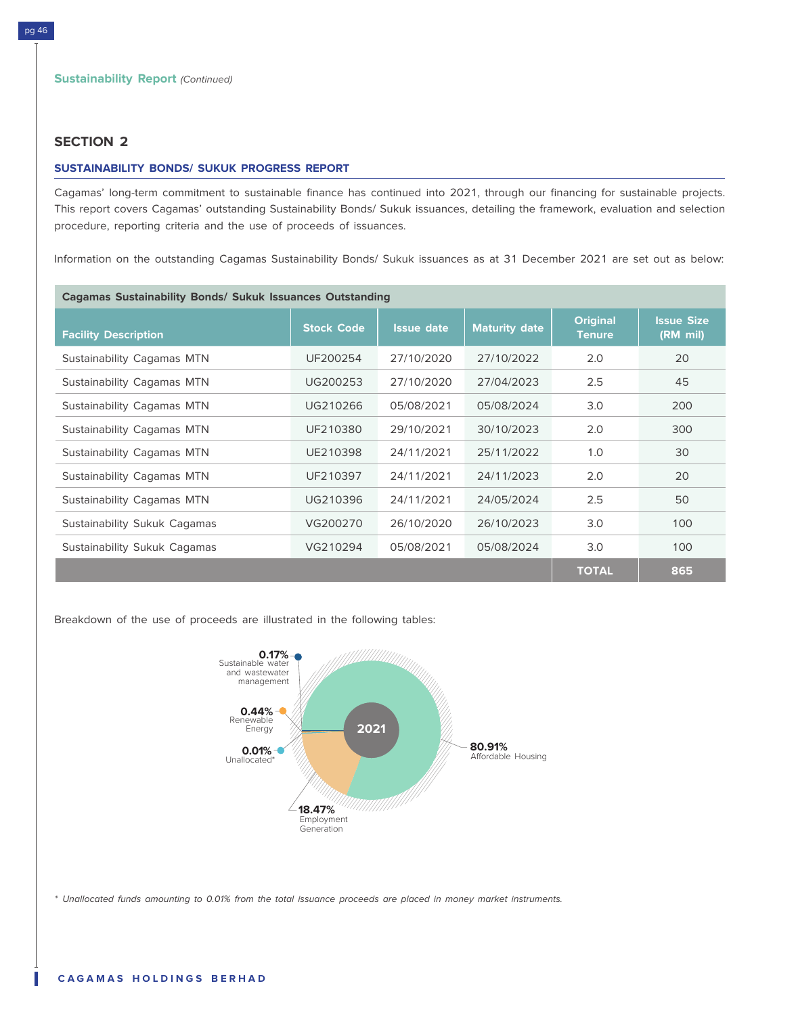## **SECTION 2**

#### **SUSTAINABILITY BONDS/ SUKUK PROGRESS REPORT**

Cagamas' long-term commitment to sustainable finance has continued into 2021, through our financing for sustainable projects. This report covers Cagamas' outstanding Sustainability Bonds/ Sukuk issuances, detailing the framework, evaluation and selection procedure, reporting criteria and the use of proceeds of issuances.

Information on the outstanding Cagamas Sustainability Bonds/ Sukuk issuances as at 31 December 2021 are set out as below:

| <b>Cagamas Sustainability Bonds/ Sukuk Issuances Outstanding</b> |                   |                   |                      |                                  |                               |
|------------------------------------------------------------------|-------------------|-------------------|----------------------|----------------------------------|-------------------------------|
| <b>Facility Description</b>                                      | <b>Stock Code</b> | <b>Issue date</b> | <b>Maturity date</b> | <b>Original</b><br><b>Tenure</b> | <b>Issue Size</b><br>(RM mil) |
| Sustainability Cagamas MTN                                       | UF200254          | 27/10/2020        | 27/10/2022           | 2.0                              | 20                            |
| Sustainability Cagamas MTN                                       | UG200253          | 27/10/2020        | 27/04/2023           | 2.5                              | 45                            |
| Sustainability Cagamas MTN                                       | UG210266          | 05/08/2021        | 05/08/2024           | 3.0                              | 200                           |
| Sustainability Cagamas MTN                                       | UF210380          | 29/10/2021        | 30/10/2023           | 2.0                              | 300                           |
| Sustainability Cagamas MTN                                       | UE210398          | 24/11/2021        | 25/11/2022           | 1.0                              | 30                            |
| Sustainability Cagamas MTN                                       | UF210397          | 24/11/2021        | 24/11/2023           | 2.0                              | 20                            |
| Sustainability Cagamas MTN                                       | UG210396          | 24/11/2021        | 24/05/2024           | 2.5                              | 50                            |
| Sustainability Sukuk Cagamas                                     | VG200270          | 26/10/2020        | 26/10/2023           | 3.0                              | 100                           |
| Sustainability Sukuk Cagamas                                     | VG210294          | 05/08/2021        | 05/08/2024           | 3.0                              | 100                           |
|                                                                  |                   |                   |                      | <b>TOTAL</b>                     | 865                           |

Breakdown of the use of proceeds are illustrated in the following tables:



\* Unallocated funds amounting to 0.01% from the total issuance proceeds are placed in money market instruments.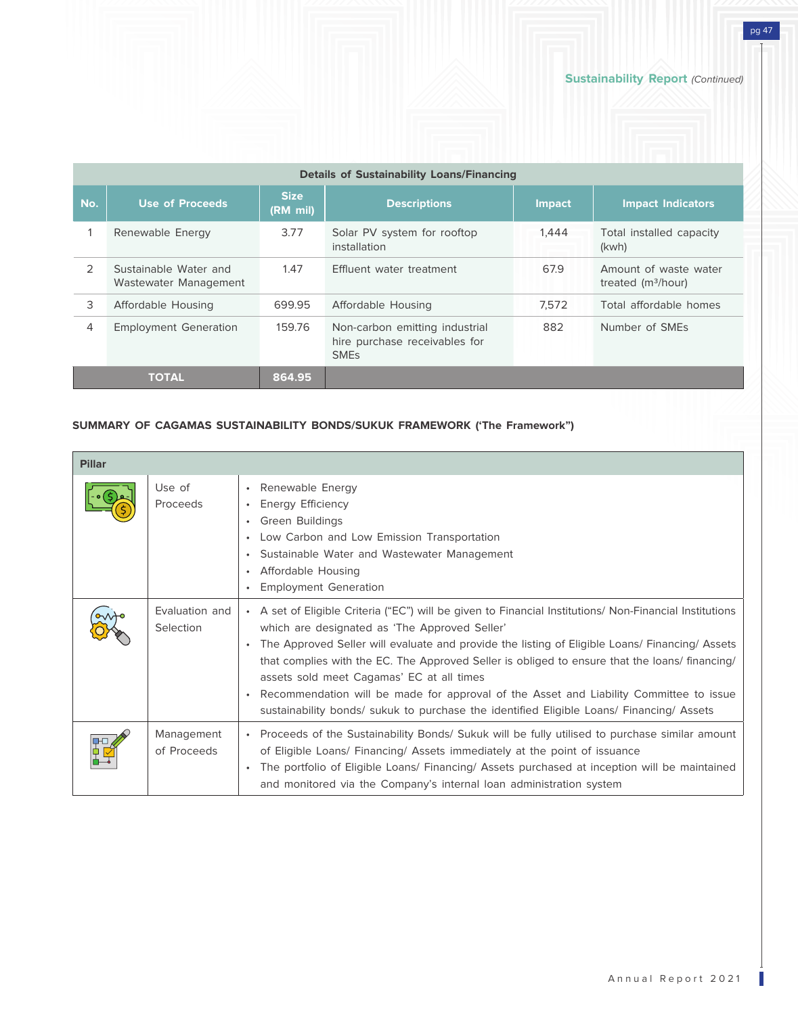pg 47

| <b>Details of Sustainability Loans/Financing</b> |                                                |                           |                                                                                           |               |                                              |
|--------------------------------------------------|------------------------------------------------|---------------------------|-------------------------------------------------------------------------------------------|---------------|----------------------------------------------|
| No.                                              | <b>Use of Proceeds</b>                         | <b>Size</b><br>$(RM$ mil) | <b>Descriptions</b>                                                                       | <b>Impact</b> | <b>Impact Indicators</b>                     |
|                                                  | Renewable Energy                               | 3.77                      | Solar PV system for rooftop<br>installation                                               | 1.444         | Total installed capacity<br>(kwh)            |
| $\mathcal{P}$                                    | Sustainable Water and<br>Wastewater Management | 1.47                      | Effluent water treatment                                                                  | 67.9          | Amount of waste water<br>treated $(m3/hour)$ |
| 3                                                | Affordable Housing                             | 699.95                    | Affordable Housing                                                                        | 7.572         | Total affordable homes                       |
| 4                                                | <b>Employment Generation</b>                   | 159.76                    | Non-carbon emitting industrial<br>hire purchase receivables for<br><b>SME<sub>s</sub></b> | 882           | Number of SMEs                               |
|                                                  | <b>TOTAL</b>                                   | 864.95                    |                                                                                           |               |                                              |

# **SUMMARY OF CAGAMAS SUSTAINABILITY BONDS/SUKUK FRAMEWORK ('The Framework")**

| <b>Pillar</b> |                             |                                                                                                                                                                                                                                                                                                                                                                                                                                                                                                                                                                                               |
|---------------|-----------------------------|-----------------------------------------------------------------------------------------------------------------------------------------------------------------------------------------------------------------------------------------------------------------------------------------------------------------------------------------------------------------------------------------------------------------------------------------------------------------------------------------------------------------------------------------------------------------------------------------------|
|               | Use of<br>Proceeds          | Renewable Energy<br>$\bullet$<br>Energy Efficiency<br>Green Buildings<br>Low Carbon and Low Emission Transportation<br>$\bullet$<br>Sustainable Water and Wastewater Management<br>Affordable Housing<br>$\bullet$<br><b>Employment Generation</b>                                                                                                                                                                                                                                                                                                                                            |
|               | Evaluation and<br>Selection | A set of Eligible Criteria ("EC") will be given to Financial Institutions/ Non-Financial Institutions<br>which are designated as 'The Approved Seller'<br>The Approved Seller will evaluate and provide the listing of Eligible Loans/ Financing/ Assets<br>that complies with the EC. The Approved Seller is obliged to ensure that the loans/ financing/<br>assets sold meet Cagamas' EC at all times<br>Recommendation will be made for approval of the Asset and Liability Committee to issue<br>sustainability bonds/ sukuk to purchase the identified Eligible Loans/ Financing/ Assets |
|               | Management<br>of Proceeds   | Proceeds of the Sustainability Bonds/ Sukuk will be fully utilised to purchase similar amount<br>of Eligible Loans/ Financing/ Assets immediately at the point of issuance<br>The portfolio of Eligible Loans/ Financing/ Assets purchased at inception will be maintained<br>$\bullet$<br>and monitored via the Company's internal loan administration system                                                                                                                                                                                                                                |

Ш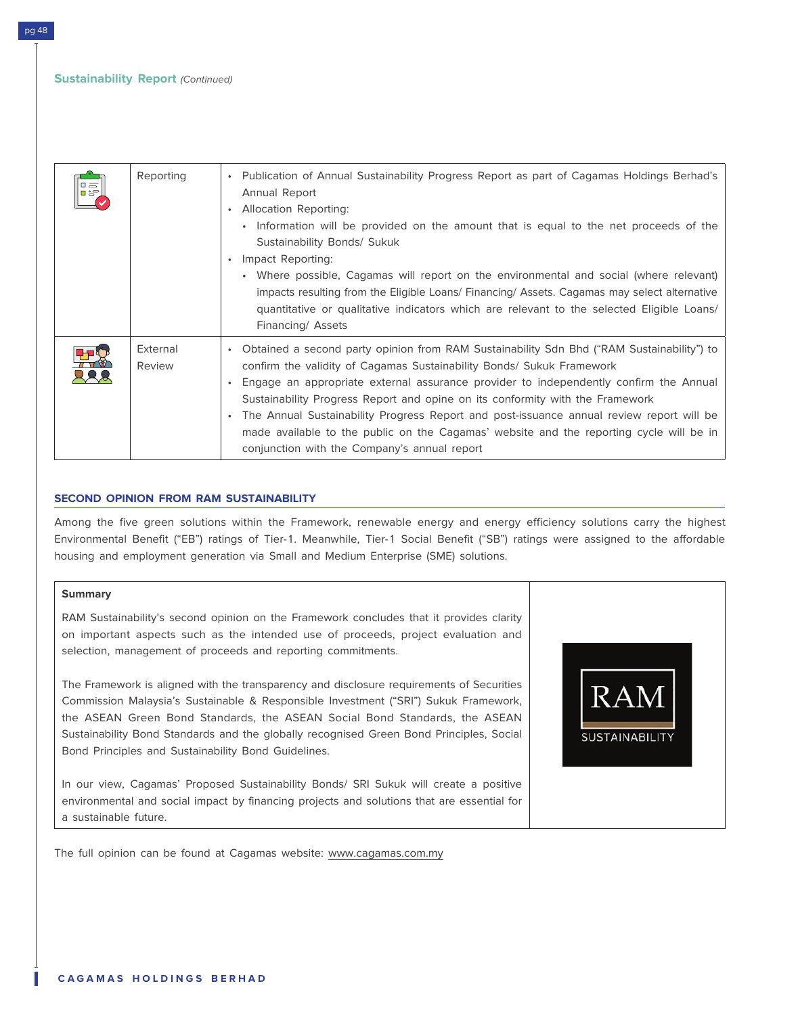| Reporting          | Publication of Annual Sustainability Progress Report as part of Cagamas Holdings Berhad's<br>$\bullet$<br>Annual Report<br><b>Allocation Reporting:</b><br>$\bullet$<br>• Information will be provided on the amount that is equal to the net proceeds of the<br>Sustainability Bonds/ Sukuk<br>Impact Reporting:<br>$\bullet$<br>• Where possible, Cagamas will report on the environmental and social (where relevant)<br>impacts resulting from the Eligible Loans/ Financing/ Assets. Cagamas may select alternative<br>quantitative or qualitative indicators which are relevant to the selected Eligible Loans/<br>Financing/ Assets |
|--------------------|--------------------------------------------------------------------------------------------------------------------------------------------------------------------------------------------------------------------------------------------------------------------------------------------------------------------------------------------------------------------------------------------------------------------------------------------------------------------------------------------------------------------------------------------------------------------------------------------------------------------------------------------|
| External<br>Review | Obtained a second party opinion from RAM Sustainability Sdn Bhd ("RAM Sustainability") to<br>$\bullet$<br>confirm the validity of Cagamas Sustainability Bonds/ Sukuk Framework<br>Engage an appropriate external assurance provider to independently confirm the Annual<br>$\bullet$<br>Sustainability Progress Report and opine on its conformity with the Framework<br>The Annual Sustainability Progress Report and post-issuance annual review report will be<br>$\bullet$<br>made available to the public on the Cagamas' website and the reporting cycle will be in<br>conjunction with the Company's annual report                 |

#### **SECOND OPINION FROM RAM SUSTAINABILITY**

Among the five green solutions within the Framework, renewable energy and energy efficiency solutions carry the highest Environmental Benefit ("EB") ratings of Tier-1. Meanwhile, Tier-1 Social Benefit ("SB") ratings were assigned to the affordable housing and employment generation via Small and Medium Enterprise (SME) solutions.

#### **Summary**

RAM Sustainability's second opinion on the Framework concludes that it provides clarity on important aspects such as the intended use of proceeds, project evaluation and selection, management of proceeds and reporting commitments.

The Framework is aligned with the transparency and disclosure requirements of Securities Commission Malaysia's Sustainable & Responsible Investment ("SRI") Sukuk Framework, the ASEAN Green Bond Standards, the ASEAN Social Bond Standards, the ASEAN Sustainability Bond Standards and the globally recognised Green Bond Principles, Social Bond Principles and Sustainability Bond Guidelines.

In our view, Cagamas' Proposed Sustainability Bonds/ SRI Sukuk will create a positive environmental and social impact by financing projects and solutions that are essential for a sustainable future.

The full opinion can be found at Cagamas website: www.cagamas.com.my